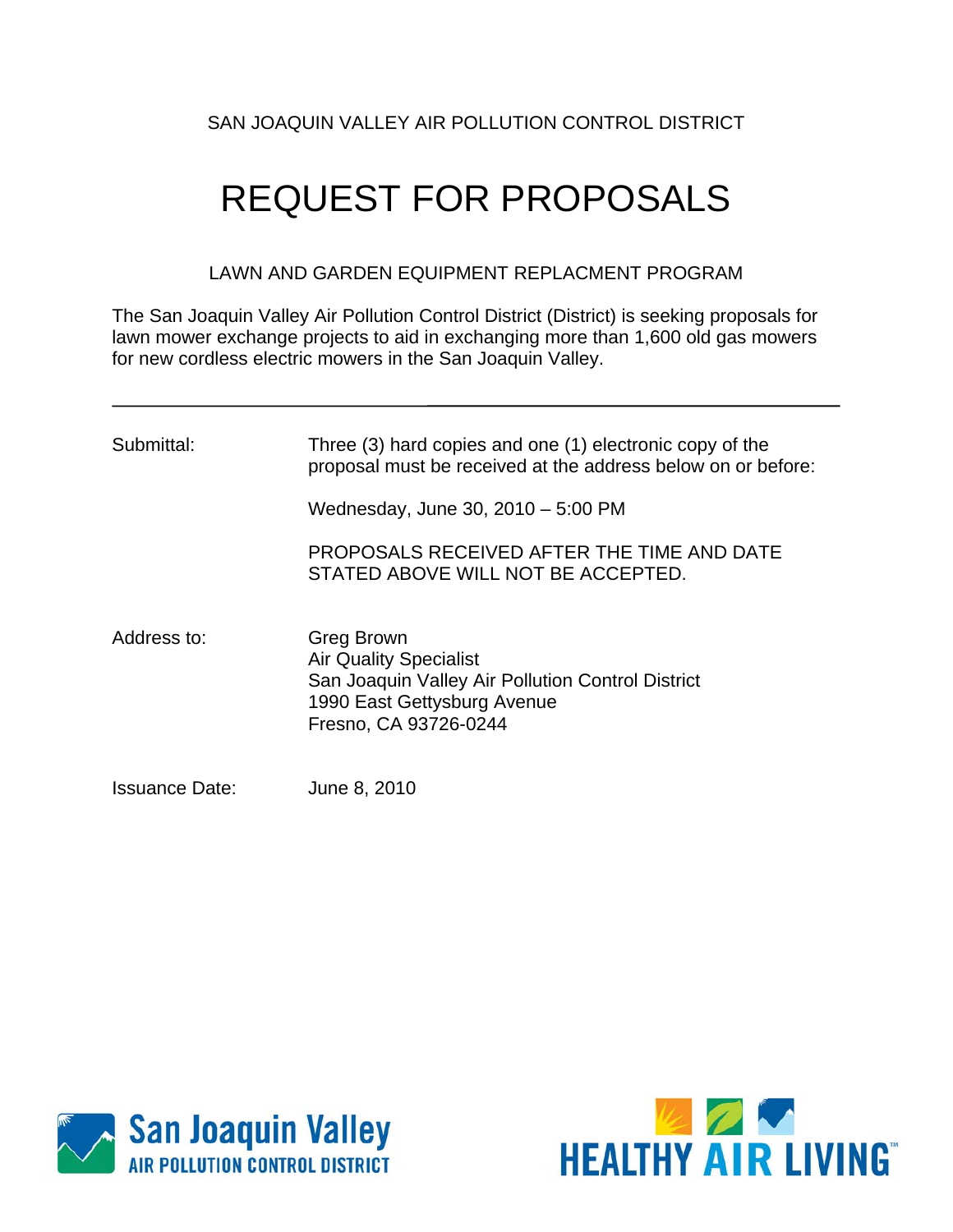# SAN JOAQUIN VALLEY AIR POLLUTION CONTROL DISTRICT

# REQUEST FOR PROPOSALS

LAWN AND GARDEN EQUIPMENT REPLACMENT PROGRAM

The San Joaquin Valley Air Pollution Control District (District) is seeking proposals for lawn mower exchange projects to aid in exchanging more than 1,600 old gas mowers for new cordless electric mowers in the San Joaquin Valley.

| Submittal:            | Three (3) hard copies and one (1) electronic copy of the<br>proposal must be received at the address below on or before:<br>Wednesday, June 30, 2010 - 5:00 PM<br>PROPOSALS RECEIVED AFTER THE TIME AND DATE |
|-----------------------|--------------------------------------------------------------------------------------------------------------------------------------------------------------------------------------------------------------|
| Address to:           | STATED ABOVE WILL NOT BE ACCEPTED.<br>Greg Brown                                                                                                                                                             |
|                       | <b>Air Quality Specialist</b><br>San Joaquin Valley Air Pollution Control District<br>1990 East Gettysburg Avenue<br>Fresno, CA 93726-0244                                                                   |
| <b>Issuance Date:</b> | June 8, 2010                                                                                                                                                                                                 |



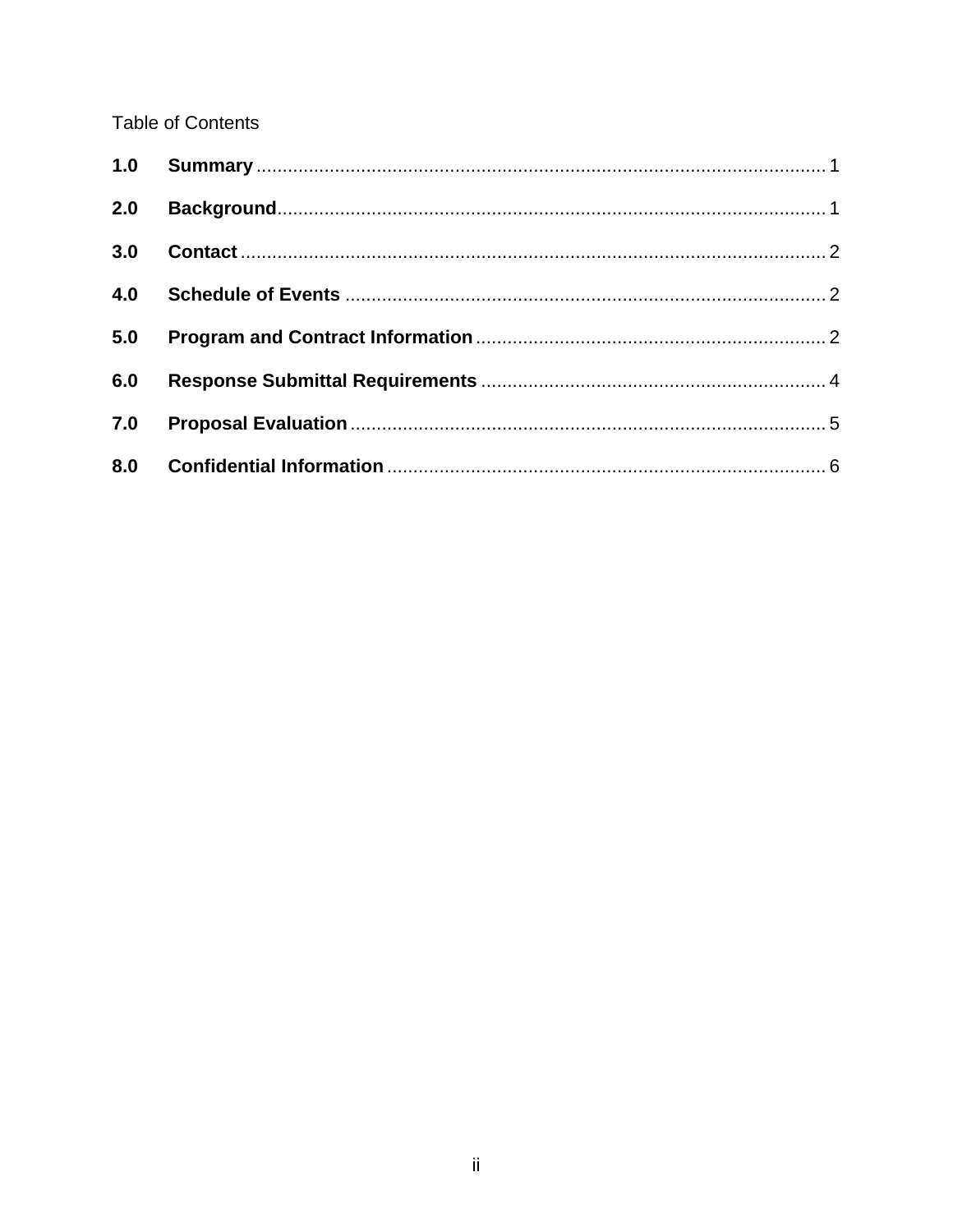**Table of Contents** 

| 2.0 |               |  |
|-----|---------------|--|
|     | 3.0 Contact 2 |  |
| 4.0 |               |  |
| 5.0 |               |  |
| 6.0 |               |  |
| 7.0 |               |  |
|     |               |  |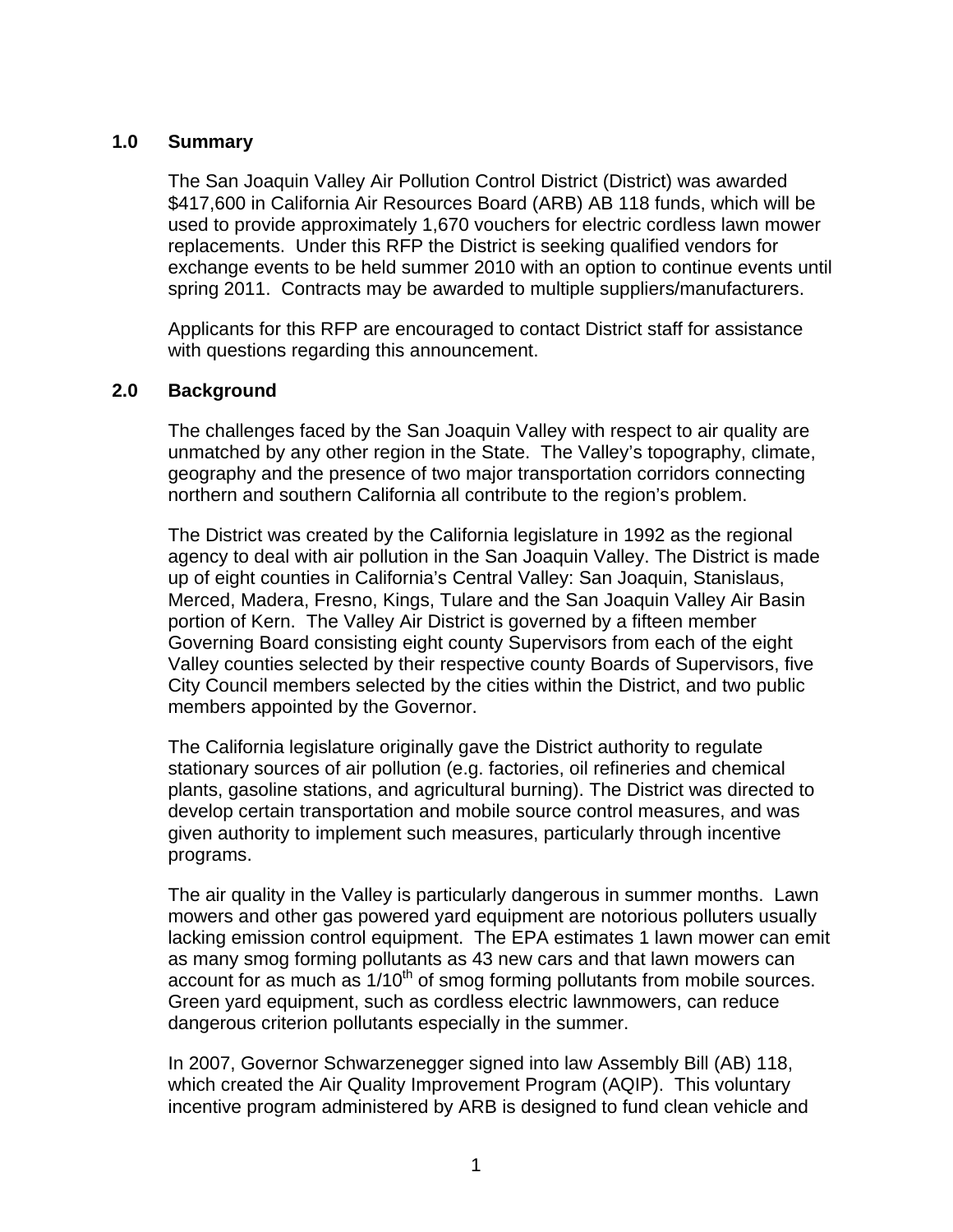#### <span id="page-2-0"></span>**1.0 Summary**

The San Joaquin Valley Air Pollution Control District (District) was awarded \$417,600 in California Air Resources Board (ARB) AB 118 funds, which will be used to provide approximately 1,670 vouchers for electric cordless lawn mower replacements. Under this RFP the District is seeking qualified vendors for exchange events to be held summer 2010 with an option to continue events until spring 2011. Contracts may be awarded to multiple suppliers/manufacturers.

 Applicants for this RFP are encouraged to contact District staff for assistance with questions regarding this announcement.

#### **2.0 Background**

The challenges faced by the San Joaquin Valley with respect to air quality are unmatched by any other region in the State. The Valley's topography, climate, geography and the presence of two major transportation corridors connecting northern and southern California all contribute to the region's problem.

The District was created by the California legislature in 1992 as the regional agency to deal with air pollution in the San Joaquin Valley. The District is made up of eight counties in California's Central Valley: San Joaquin, Stanislaus, Merced, Madera, Fresno, Kings, Tulare and the San Joaquin Valley Air Basin portion of Kern. The Valley Air District is governed by a fifteen member Governing Board consisting eight county Supervisors from each of the eight Valley counties selected by their respective county Boards of Supervisors, five City Council members selected by the cities within the District, and two public members appointed by the Governor.

The California legislature originally gave the District authority to regulate stationary sources of air pollution (e.g. factories, oil refineries and chemical plants, gasoline stations, and agricultural burning). The District was directed to develop certain transportation and mobile source control measures, and was given authority to implement such measures, particularly through incentive programs.

The air quality in the Valley is particularly dangerous in summer months. Lawn mowers and other gas powered yard equipment are notorious polluters usually lacking emission control equipment. The EPA estimates 1 lawn mower can emit as many smog forming pollutants as 43 new cars and that lawn mowers can account for as much as  $1/10<sup>th</sup>$  of smog forming pollutants from mobile sources. Green yard equipment, such as cordless electric lawnmowers, can reduce dangerous criterion pollutants especially in the summer.

In 2007, Governor Schwarzenegger signed into law Assembly Bill (AB) 118, which created the Air Quality Improvement Program (AQIP). This voluntary incentive program administered by ARB is designed to fund clean vehicle and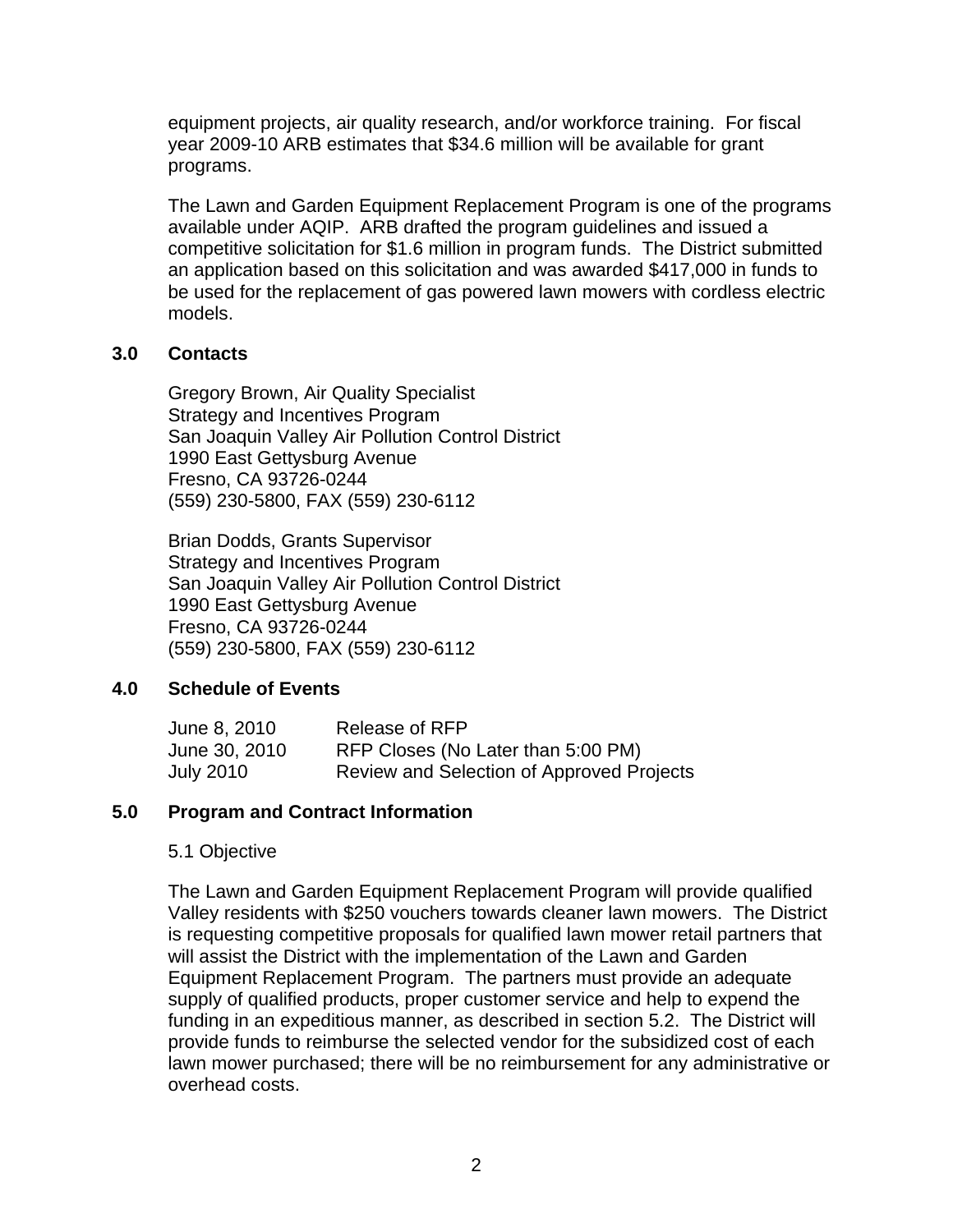<span id="page-3-0"></span>equipment projects, air quality research, and/or workforce training. For fiscal year 2009-10 ARB estimates that \$34.6 million will be available for grant programs.

The Lawn and Garden Equipment Replacement Program is one of the programs available under AQIP. ARB drafted the program guidelines and issued a competitive solicitation for \$1.6 million in program funds. The District submitted an application based on this solicitation and was awarded \$417,000 in funds to be used for the replacement of gas powered lawn mowers with cordless electric models.

#### **3.0 Contacts**

Gregory Brown, Air Quality Specialist Strategy and Incentives Program San Joaquin Valley Air Pollution Control District 1990 East Gettysburg Avenue Fresno, CA 93726-0244 (559) 230-5800, FAX (559) 230-6112

Brian Dodds, Grants Supervisor Strategy and Incentives Program San Joaquin Valley Air Pollution Control District 1990 East Gettysburg Avenue Fresno, CA 93726-0244 (559) 230-5800, FAX (559) 230-6112

#### **4.0 Schedule of Events**

| June 8, 2010     | Release of RFP                            |
|------------------|-------------------------------------------|
| June 30, 2010    | RFP Closes (No Later than 5:00 PM)        |
| <b>July 2010</b> | Review and Selection of Approved Projects |

#### **5.0 Program and Contract Information**

#### 5.1 Objective

The Lawn and Garden Equipment Replacement Program will provide qualified Valley residents with \$250 vouchers towards cleaner lawn mowers. The District is requesting competitive proposals for qualified lawn mower retail partners that will assist the District with the implementation of the Lawn and Garden Equipment Replacement Program. The partners must provide an adequate supply of qualified products, proper customer service and help to expend the funding in an expeditious manner, as described in section 5.2. The District will provide funds to reimburse the selected vendor for the subsidized cost of each lawn mower purchased; there will be no reimbursement for any administrative or overhead costs.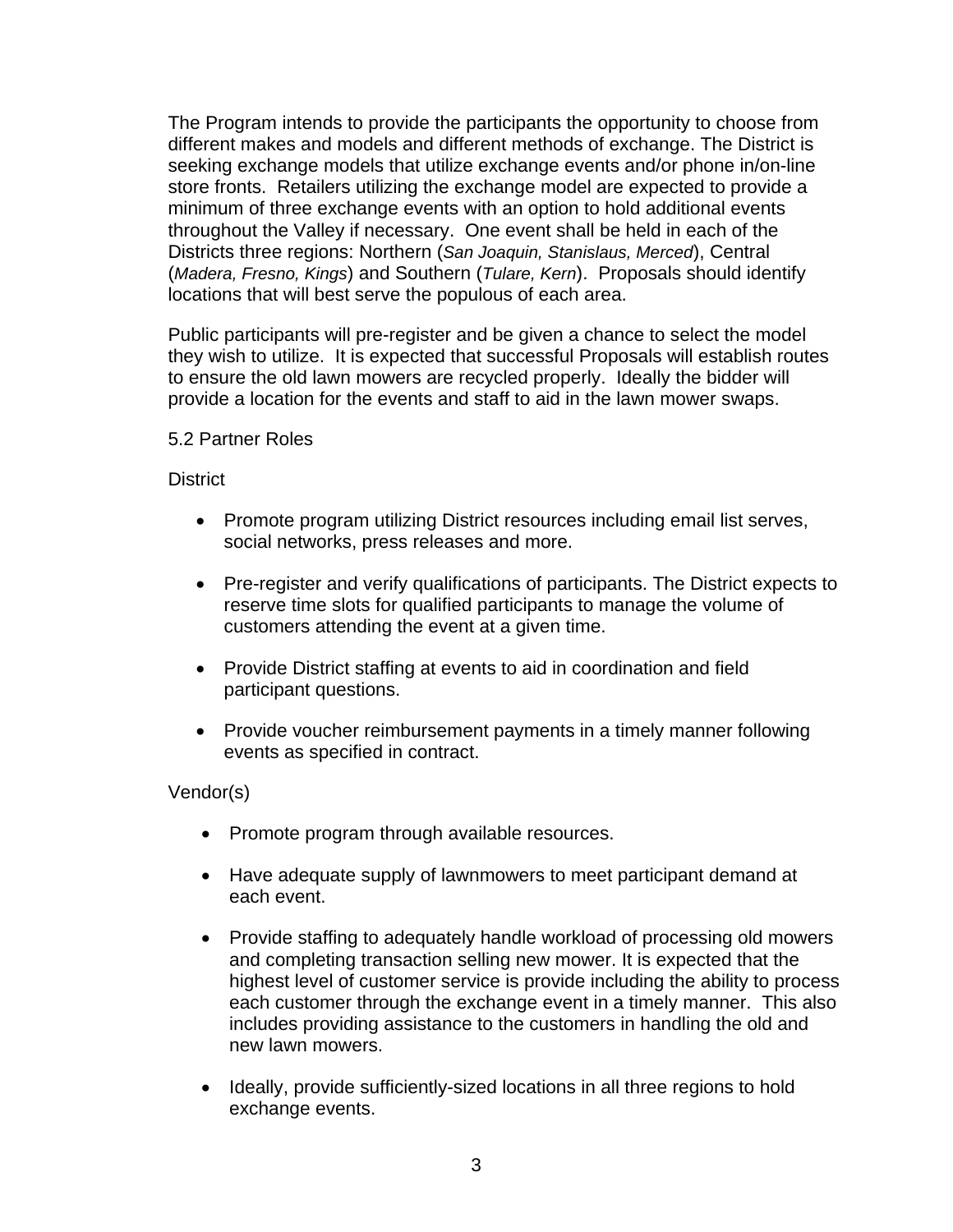The Program intends to provide the participants the opportunity to choose from different makes and models and different methods of exchange. The District is seeking exchange models that utilize exchange events and/or phone in/on-line store fronts. Retailers utilizing the exchange model are expected to provide a minimum of three exchange events with an option to hold additional events throughout the Valley if necessary. One event shall be held in each of the Districts three regions: Northern (*San Joaquin, Stanislaus, Merced*), Central (*Madera, Fresno, Kings*) and Southern (*Tulare, Kern*). Proposals should identify locations that will best serve the populous of each area.

Public participants will pre-register and be given a chance to select the model they wish to utilize. It is expected that successful Proposals will establish routes to ensure the old lawn mowers are recycled properly. Ideally the bidder will provide a location for the events and staff to aid in the lawn mower swaps.

#### 5.2 Partner Roles

#### **District**

- Promote program utilizing District resources including email list serves, social networks, press releases and more.
- Pre-register and verify qualifications of participants. The District expects to reserve time slots for qualified participants to manage the volume of customers attending the event at a given time.
- Provide District staffing at events to aid in coordination and field participant questions.
- Provide voucher reimbursement payments in a timely manner following events as specified in contract.

#### Vendor(s)

- Promote program through available resources.
- Have adequate supply of lawnmowers to meet participant demand at each event.
- Provide staffing to adequately handle workload of processing old mowers and completing transaction selling new mower. It is expected that the highest level of customer service is provide including the ability to process each customer through the exchange event in a timely manner. This also includes providing assistance to the customers in handling the old and new lawn mowers.
- Ideally, provide sufficiently-sized locations in all three regions to hold exchange events.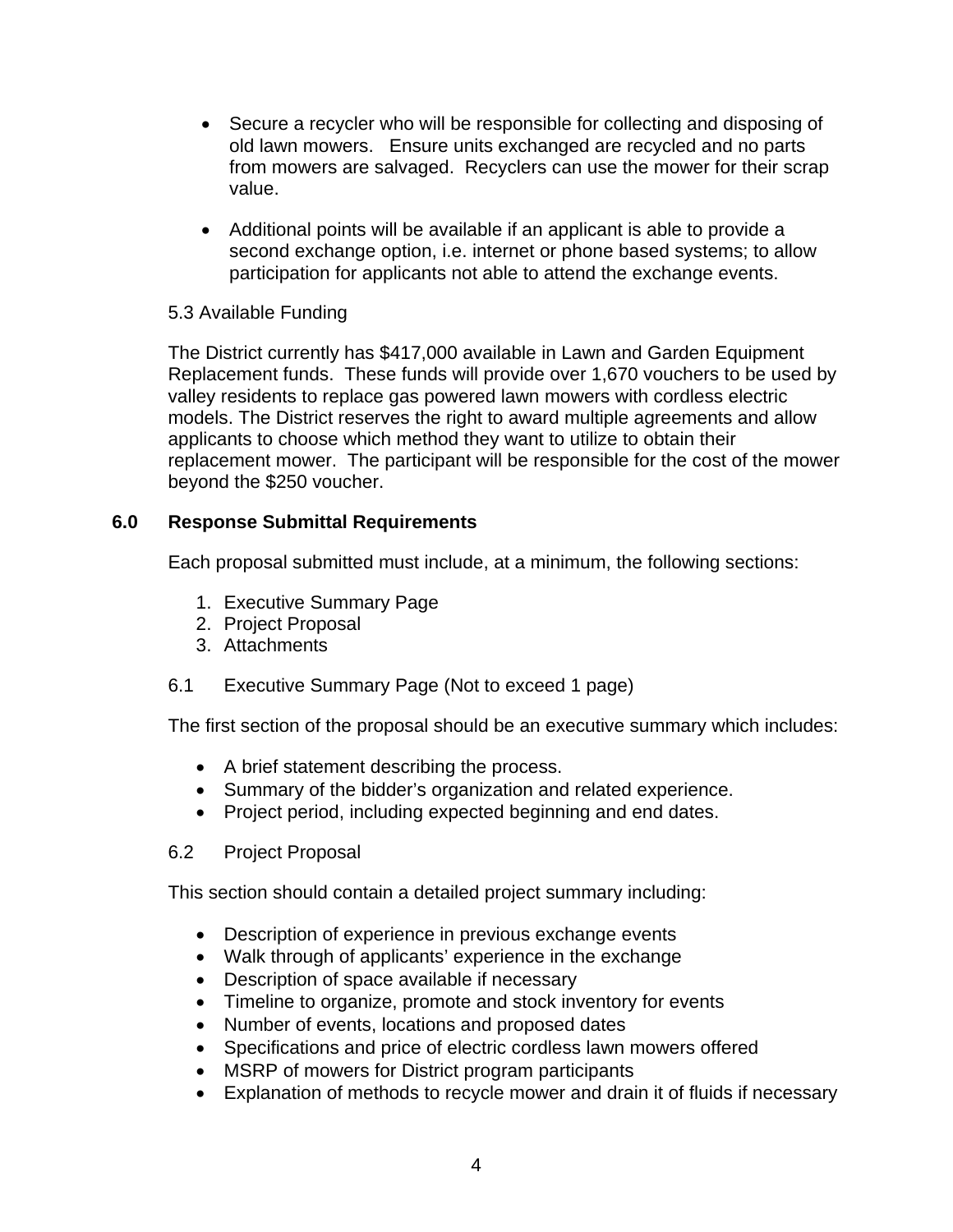- <span id="page-5-0"></span>• Secure a recycler who will be responsible for collecting and disposing of old lawn mowers. Ensure units exchanged are recycled and no parts from mowers are salvaged. Recyclers can use the mower for their scrap value.
- Additional points will be available if an applicant is able to provide a second exchange option, i.e. internet or phone based systems; to allow participation for applicants not able to attend the exchange events.

# 5.3 Available Funding

The District currently has \$417,000 available in Lawn and Garden Equipment Replacement funds. These funds will provide over 1,670 vouchers to be used by valley residents to replace gas powered lawn mowers with cordless electric models. The District reserves the right to award multiple agreements and allow applicants to choose which method they want to utilize to obtain their replacement mower. The participant will be responsible for the cost of the mower beyond the \$250 voucher.

# **6.0 Response Submittal Requirements**

Each proposal submitted must include, at a minimum, the following sections:

- 1. Executive Summary Page
- 2. Project Proposal
- 3. Attachments
- 6.1 Executive Summary Page (Not to exceed 1 page)

The first section of the proposal should be an executive summary which includes:

- A brief statement describing the process.
- Summary of the bidder's organization and related experience.
- Project period, including expected beginning and end dates.
- 6.2 Project Proposal

This section should contain a detailed project summary including:

- Description of experience in previous exchange events
- Walk through of applicants' experience in the exchange
- Description of space available if necessary
- Timeline to organize, promote and stock inventory for events
- Number of events, locations and proposed dates
- Specifications and price of electric cordless lawn mowers offered
- MSRP of mowers for District program participants
- Explanation of methods to recycle mower and drain it of fluids if necessary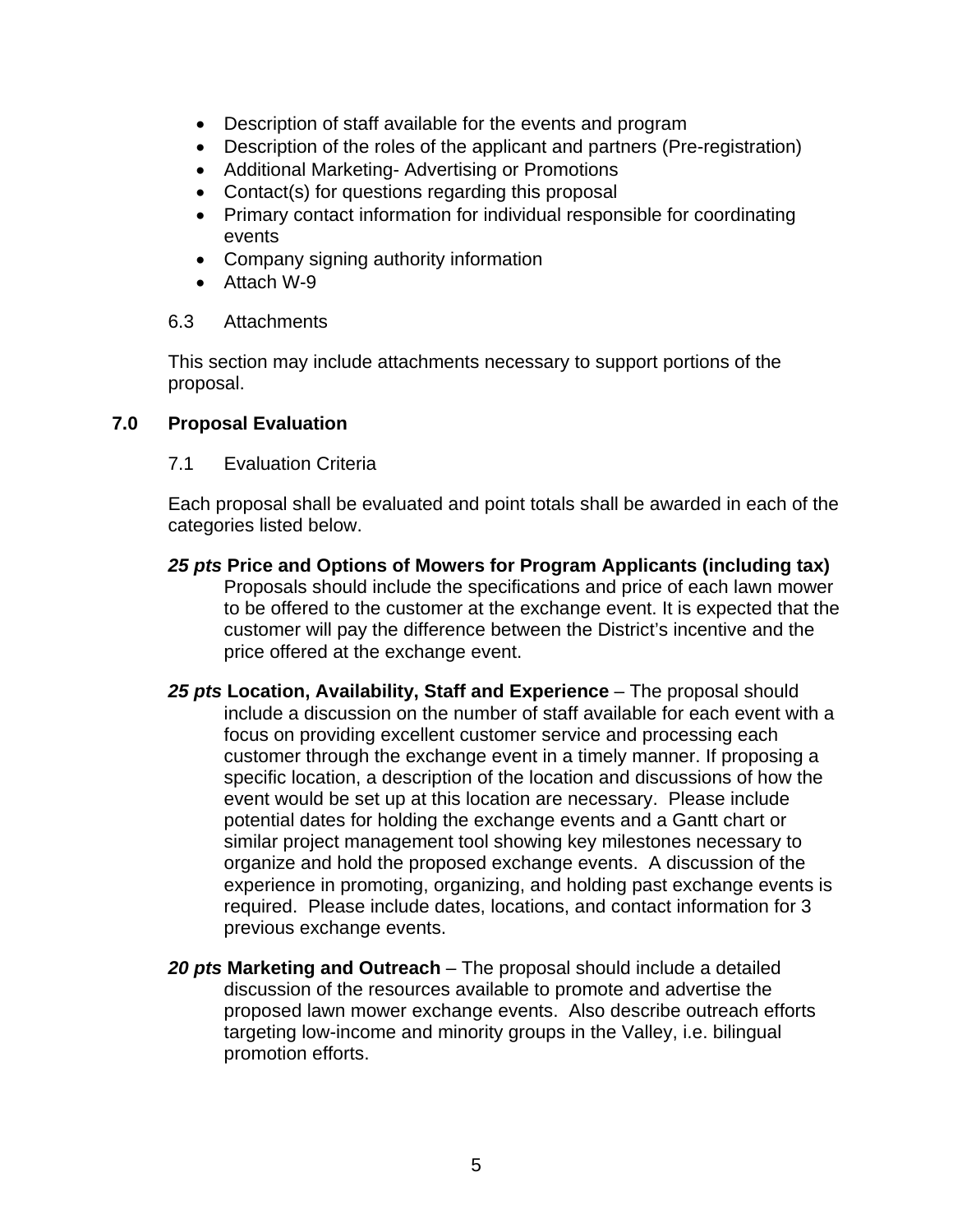- <span id="page-6-0"></span>• Description of staff available for the events and program
- Description of the roles of the applicant and partners (Pre-registration)
- Additional Marketing- Advertising or Promotions
- Contact(s) for questions regarding this proposal
- Primary contact information for individual responsible for coordinating events
- Company signing authority information
- Attach W-9
- 6.3 Attachments

This section may include attachments necessary to support portions of the proposal.

# **7.0 Proposal Evaluation**

7.1 Evaluation Criteria

Each proposal shall be evaluated and point totals shall be awarded in each of the categories listed below.

- *25 pts* **Price and Options of Mowers for Program Applicants (including tax)**  Proposals should include the specifications and price of each lawn mower to be offered to the customer at the exchange event. It is expected that the customer will pay the difference between the District's incentive and the price offered at the exchange event.
- *25 pts* **Location, Availability, Staff and Experience**  The proposal should include a discussion on the number of staff available for each event with a focus on providing excellent customer service and processing each customer through the exchange event in a timely manner. If proposing a specific location, a description of the location and discussions of how the event would be set up at this location are necessary. Please include potential dates for holding the exchange events and a Gantt chart or similar project management tool showing key milestones necessary to organize and hold the proposed exchange events. A discussion of the experience in promoting, organizing, and holding past exchange events is required. Please include dates, locations, and contact information for 3 previous exchange events.
- *20 pts* **Marketing and Outreach**  The proposal should include a detailed discussion of the resources available to promote and advertise the proposed lawn mower exchange events. Also describe outreach efforts targeting low-income and minority groups in the Valley, i.e. bilingual promotion efforts.